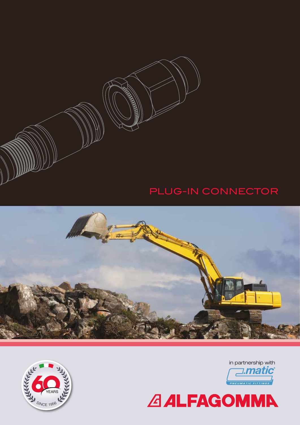

# PLUG-IN CONNECTOR







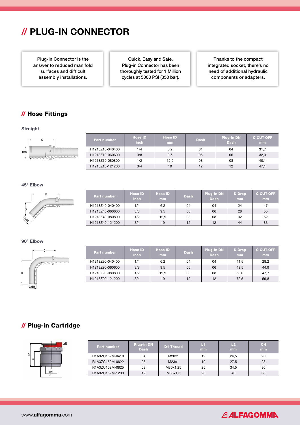# // PLUG-IN CONNECTOR

Plug-in Connector is the answer to reduced manifold surfaces and difficult assembly installations.

Quick, Easy and Safe, Plug-in Connector has been thoroughly tested for 1 Million cycles at 5000 PSI (350 bar).

Thanks to the compact integrated socket, there's no need of additional hydraulic components or adapters.

## // Hose Fittings

**Straight** 



| <b>Part number</b> | <b>Hose ID</b><br><b>inch</b> | <b>Hose ID</b><br><b>mm</b> | <b>Dash</b> | <b>Plug-in DN</b><br><b>Dash</b> | <b>C CUT-OFF</b><br>mm |
|--------------------|-------------------------------|-----------------------------|-------------|----------------------------------|------------------------|
| H1213Z10-040400    | 1/4                           | 6,2                         | 04          | 04                               | 31.7                   |
| H1213Z10-060600    | 3/8                           | 9,5                         | 06          | 06                               | 32,3                   |
| H1213Z10-080800    | 1/2                           | 12.9                        | 08          | 08                               | 40.1                   |
| H1213Z10-121200    | 3/4                           | 19                          | 12          | 12                               | 47.1                   |

#### 45° Elbow



| <b>Part number</b> | <b>Hose ID</b><br><b>inch</b> | <b>Hose ID</b><br>m <sub>m</sub> | <b>Dash</b> | <b>Plug-in DN</b><br><b>Dash</b> | <b>D</b> Drop<br><b>mm</b> | <b>C CUT-OFF</b><br>mm |
|--------------------|-------------------------------|----------------------------------|-------------|----------------------------------|----------------------------|------------------------|
| H1213Z40-040400    | 1/4                           | 6,2                              | 04          | 04                               | 24                         | 47                     |
| H1213Z40-060600    | 3/8                           | 9,5                              | 06          | 06                               | 28                         | 55                     |
| H1213Z40-080800    | 1/2                           | 12,9                             | 08          | 08                               | 32                         | 62                     |
| H1213Z40-121200    | 3/4                           | 19                               | 12          | 12                               | 44                         | 83                     |

### 90° Elbow

Пń  $\overline{\mathcal{L}}$ **DASH** 

| <b>Part number</b> | <b>Hose ID</b><br><b>inch</b> | <b>Hose ID</b><br>mm | <b>Dash</b> | <b>Plug-in DN</b><br><b>Dash</b> | <b>D</b> Drop<br>mm. | <b>C CUT-OFF</b><br><b>mm</b> |
|--------------------|-------------------------------|----------------------|-------------|----------------------------------|----------------------|-------------------------------|
| H1213Z90-040400    | 1/4                           | 6,2                  | 04          | 04                               | 41,5                 | 28,2                          |
| H1213Z90-060600    | 3/8                           | 9,5                  | 06          | 06                               | 49,5                 | 44,9                          |
| H1213Z90-080800    | 1/2                           | 12,9                 | 08          | 08                               | 58,0                 | 47,7                          |
| H1213Z90-121200    | 3/4                           | 19                   | 12          | 12                               | 72,5                 | 59,8                          |

## // Plug-in Cartridge

L1 2

| CH                   | <b>Part number</b> | <b>Plug-in DN</b><br><b>Dash</b> | <b>D1 Thread</b> | м<br><b>mm</b> | L <sub>2</sub><br>mm | CH<br>mm |
|----------------------|--------------------|----------------------------------|------------------|----------------|----------------------|----------|
|                      | R1A3ZC152M-0418    | 04                               | M20x1            | 19             | 26,5                 | 20       |
|                      | R1A3ZC152M-0622    | 06                               | M23x1            | 19             | 27,5                 | 23       |
|                      | R1A3ZC152M-0825    | 08                               | M30x1,25         | 25             | 34.5                 | 30       |
| DN<br>D <sub>1</sub> | R1A3ZC152M-1233    | 12                               | M38x1,5          | 28             | 40                   | 38       |

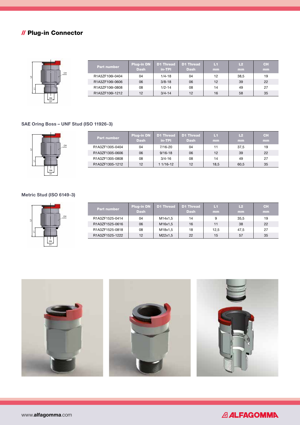# // Plug-in Connector



| Part number     | <b>Plug-in DN</b><br><b>Dash</b> | D1 Thread<br>in-TPI | D1 Thread<br><b>Dash</b> | LП<br>mm | L2<br>mm | <b>CH</b><br>mm |
|-----------------|----------------------------------|---------------------|--------------------------|----------|----------|-----------------|
| R1A3ZF106I-0404 | 04                               | $1/4 - 18$          | 04                       | 12       | 38.5     | 19              |
| R1A3ZF106I-0606 | 06                               | $3/8 - 18$          | 06                       | 12       | 39       | 22              |
| R1A3ZF106I-0808 | 08                               | $1/2 - 14$          | 08                       | 14       | 49       | 27              |
| R1A3ZF106I-1212 | 12                               | $3/4 - 14$          | 12                       | 16       | 58       | 35              |

## SAE Oring Boss – UNF Stud (ISO 11926-3)

CH

CH

| <b>Part number</b> | Plug-in DN<br><b>Dash</b> | D1 Thread<br>in-TPI | D1 Thread<br><b>Dash</b> | L1<br>mm | L2<br>mm | <b>CH</b><br><b>mm</b> |
|--------------------|---------------------------|---------------------|--------------------------|----------|----------|------------------------|
| R1A3ZF1305-0404    | 04                        | $7/16 - 20$         | 04                       | 11       | 37.5     | 19                     |
| R1A3ZF1305-0606    | 06                        | $9/16 - 18$         | 06                       | 12       | 39       | 22                     |
| R1A3ZF1305-0808    | 08                        | $3/4 - 16$          | 08                       | 14       | 49       | 27                     |
| R1A3ZF1305-1212    | 12                        | $1/16 - 12$         | 12                       | 18,5     | 60.5     | 35                     |

### Metric Stud (ISO 6149-3)

DN D1

DN D1

L1

L1

 $^{\circ}$ 

 $\overline{a}$ 

| <b>Part number</b> | <b>Plug-in DN</b><br><b>Dash</b> | D1 Thread | D1 Thread<br><b>Dash</b> | L1<br><b>mm</b> | L2<br>mm | <b>CH</b><br>mm |
|--------------------|----------------------------------|-----------|--------------------------|-----------------|----------|-----------------|
| R1A3ZF1525-0414    | 04                               | M14x1,5   | 14                       | 9               | 35,5     | 19              |
| R1A3ZF1525-0616    | 06                               | M16x1,5   | 16                       | 11              | 38       | 22              |
| R1A3ZF1525-0818    | 08                               | M18x1,5   | 18                       | 12.5            | 47.5     | 27              |
| R1A3ZF1525-1222    | 12                               | M22x1,5   | 22                       | 15              | 57       | 35              |